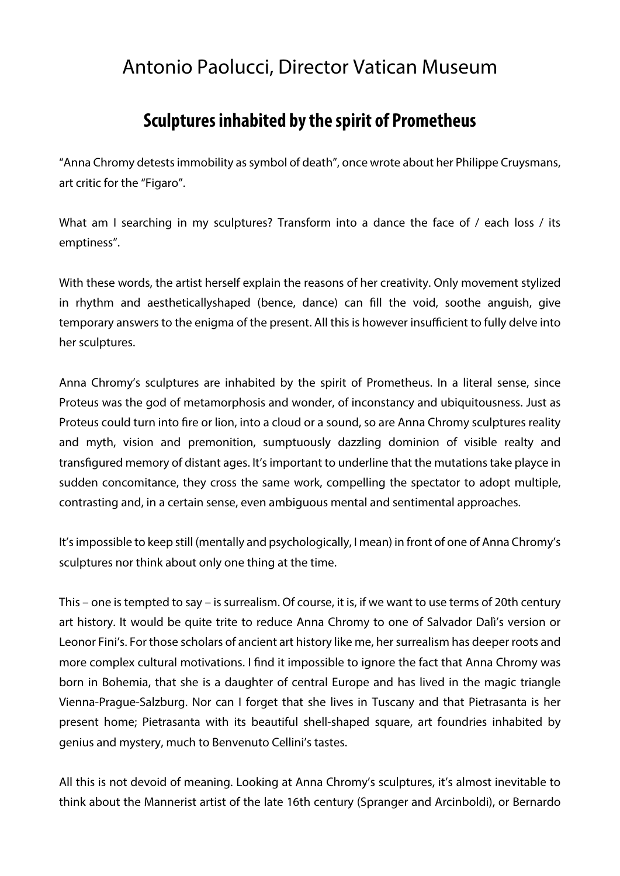## Antonio Paolucci, Director Vatican Museum

## **Sculptures inhabited by the spirit of Prometheus**

"Anna Chromy detests immobility as symbol of death", once wrote about her Philippe Cruysmans, art critic for the "Figaro".

What am I searching in my sculptures? Transform into a dance the face of / each loss / its emptiness".

With these words, the artist herself explain the reasons of her creativity. Only movement stylized in rhythm and aestheticallyshaped (bence, dance) can fill the void, soothe anguish, give temporary answers to the enigma of the present. All this is however insufficient to fully delve into her sculptures.

Anna Chromy's sculptures are inhabited by the spirit of Prometheus. In a literal sense, since Proteus was the god of metamorphosis and wonder, of inconstancy and ubiquitousness. Just as Proteus could turn into fire or lion, into a cloud or a sound, so are Anna Chromy sculptures reality and myth, vision and premonition, sumptuously dazzling dominion of visible realty and transfigured memory of distant ages. It's important to underline that the mutations take playce in sudden concomitance, they cross the same work, compelling the spectator to adopt multiple, contrasting and, in a certain sense, even ambiguous mental and sentimental approaches.

It's impossible to keep still (mentally and psychologically, I mean) in front of one of Anna Chromy's sculptures nor think about only one thing at the time.

This – one is tempted to say – is surrealism. Of course, it is, if we want to use terms of 20th century art history. It would be quite trite to reduce Anna Chromy to one of Salvador Dalì's version or Leonor Fini's. For those scholars of ancient art history like me, her surrealism has deeper roots and more complex cultural motivations. I find it impossible to ignore the fact that Anna Chromy was born in Bohemia, that she is a daughter of central Europe and has lived in the magic triangle Vienna-Prague-Salzburg. Nor can I forget that she lives in Tuscany and that Pietrasanta is her present home; Pietrasanta with its beautiful shell-shaped square, art foundries inhabited by genius and mystery, much to Benvenuto Cellini's tastes.

All this is not devoid of meaning. Looking at Anna Chromy's sculptures, it's almost inevitable to think about the Mannerist artist of the late 16th century (Spranger and Arcinboldi), or Bernardo